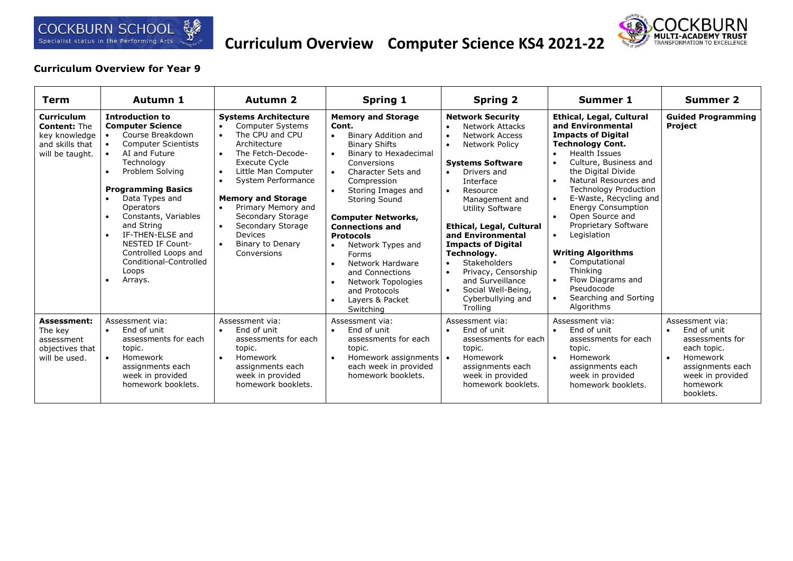

## **Curriculum Overview Computer Science KS4 2021-22**



## **Curriculum Overview for Year 9**

| Term                                                                                            | Autumn 1                                                                                                                                                                                                                                                                                                                                                                                                                                | <b>Autumn 2</b>                                                                                                                                                                                                                                                                                                                                                                    | <b>Spring 1</b>                                                                                                                                                                                                                                                                                                                                                                                                                                               | <b>Spring 2</b>                                                                                                                                                                                                                                                                                                                                                                                                                                                                                           | <b>Summer 1</b>                                                                                                                                                                                                                                                                                                                                                                                                                                                                                                                                             | <b>Summer 2</b>                                                                                                                                                         |
|-------------------------------------------------------------------------------------------------|-----------------------------------------------------------------------------------------------------------------------------------------------------------------------------------------------------------------------------------------------------------------------------------------------------------------------------------------------------------------------------------------------------------------------------------------|------------------------------------------------------------------------------------------------------------------------------------------------------------------------------------------------------------------------------------------------------------------------------------------------------------------------------------------------------------------------------------|---------------------------------------------------------------------------------------------------------------------------------------------------------------------------------------------------------------------------------------------------------------------------------------------------------------------------------------------------------------------------------------------------------------------------------------------------------------|-----------------------------------------------------------------------------------------------------------------------------------------------------------------------------------------------------------------------------------------------------------------------------------------------------------------------------------------------------------------------------------------------------------------------------------------------------------------------------------------------------------|-------------------------------------------------------------------------------------------------------------------------------------------------------------------------------------------------------------------------------------------------------------------------------------------------------------------------------------------------------------------------------------------------------------------------------------------------------------------------------------------------------------------------------------------------------------|-------------------------------------------------------------------------------------------------------------------------------------------------------------------------|
| <b>Curriculum</b><br><b>Content: The</b><br>key knowledge<br>and skills that<br>will be taught. | <b>Introduction to</b><br><b>Computer Science</b><br>Course Breakdown<br><b>Computer Scientists</b><br>AI and Future<br>Technology<br>Problem Solving<br>$\bullet$<br><b>Programming Basics</b><br>Data Types and<br><b>Operators</b><br>Constants, Variables<br>$\bullet$<br>and String<br>IF-THEN-ELSE and<br>$\bullet$<br><b>NESTED IF Count-</b><br>Controlled Loops and<br>Conditional-Controlled<br>Loops<br>Arrays.<br>$\bullet$ | <b>Systems Architecture</b><br><b>Computer Systems</b><br>The CPU and CPU<br>Architecture<br>The Fetch-Decode-<br>$\bullet$<br><b>Execute Cycle</b><br>Little Man Computer<br>$\bullet$<br>System Performance<br>$\bullet$<br><b>Memory and Storage</b><br>Primary Memory and<br>$\bullet$<br>Secondary Storage<br>Secondary Storage<br>Devices<br>Binary to Denary<br>Conversions | <b>Memory and Storage</b><br>Cont.<br>Binary Addition and<br>$\bullet$<br><b>Binary Shifts</b><br>Binary to Hexadecimal<br>Conversions<br>Character Sets and<br>Compression<br>Storing Images and<br>$\bullet$<br><b>Storing Sound</b><br><b>Computer Networks,</b><br><b>Connections and</b><br><b>Protocols</b><br>Network Types and<br>Forms<br>Network Hardware<br>and Connections<br>Network Topologies<br>and Protocols<br>Layers & Packet<br>Switching | <b>Network Security</b><br><b>Network Attacks</b><br>Network Access<br>$\bullet$<br>Network Policy<br>$\bullet$<br><b>Systems Software</b><br>Drivers and<br>$\bullet$<br>Interface<br>Resource<br>$\bullet$<br>Management and<br><b>Utility Software</b><br>Ethical, Legal, Cultural<br>and Environmental<br><b>Impacts of Digital</b><br>Technology.<br><b>Stakeholders</b><br>$\bullet$<br>Privacy, Censorship<br>$\bullet$<br>and Surveillance<br>Social Well-Being,<br>Cyberbullying and<br>Trolling | <b>Ethical, Legal, Cultural</b><br>and Environmental<br><b>Impacts of Digital</b><br><b>Technology Cont.</b><br>Health Issues<br>$\bullet$<br>Culture, Business and<br>$\bullet$<br>the Digital Divide<br>Natural Resources and<br>$\bullet$<br><b>Technology Production</b><br>E-Waste, Recycling and<br>$\bullet$<br><b>Energy Consumption</b><br>Open Source and<br>Proprietary Software<br>Legislation<br>$\bullet$<br><b>Writing Algorithms</b><br>Computational<br>Thinking<br>Flow Diagrams and<br>Pseudocode<br>Searching and Sorting<br>Algorithms | <b>Guided Programming</b><br><b>Project</b>                                                                                                                             |
| <b>Assessment:</b><br>The key<br>assessment<br>objectives that<br>will be used.                 | Assessment via:<br>End of unit<br>$\bullet$<br>assessments for each<br>topic.<br>Homework<br>assignments each<br>week in provided<br>homework booklets.                                                                                                                                                                                                                                                                                 | Assessment via:<br>End of unit<br>$\bullet$<br>assessments for each<br>topic.<br>Homework<br>$\bullet$<br>assignments each<br>week in provided<br>homework booklets.                                                                                                                                                                                                               | Assessment via:<br>End of unit<br>assessments for each<br>topic.<br>Homework assignments   •<br>each week in provided<br>homework booklets.                                                                                                                                                                                                                                                                                                                   | Assessment via:<br>End of unit<br>$\bullet$<br>assessments for each<br>topic.<br>Homework<br>assignments each<br>week in provided<br>homework booklets.                                                                                                                                                                                                                                                                                                                                                   | Assessment via:<br>End of unit<br>assessments for each<br>topic.<br>Homework<br>$\bullet$<br>assignments each<br>week in provided<br>homework booklets.                                                                                                                                                                                                                                                                                                                                                                                                     | Assessment via:<br>End of unit<br>$\bullet$<br>assessments for<br>each topic.<br>Homework<br>$\bullet$<br>assignments each<br>week in provided<br>homework<br>booklets. |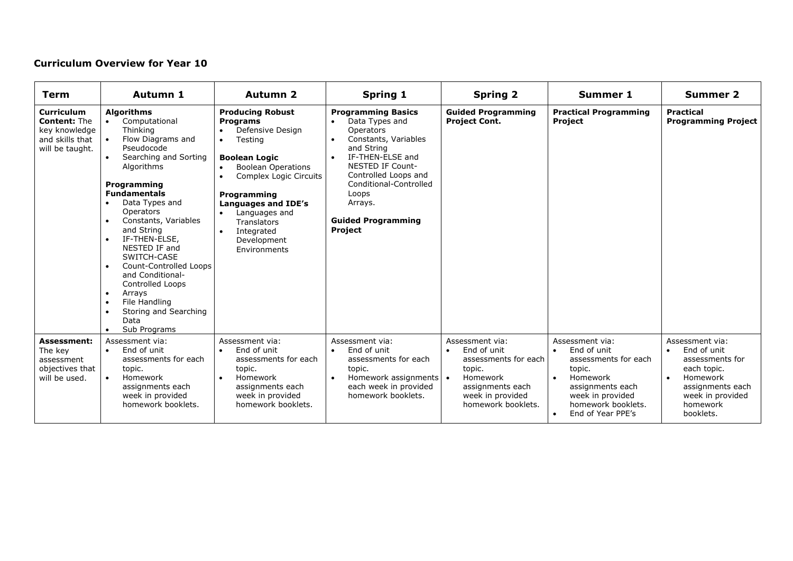## **Curriculum Overview for Year 10**

| Term                                                                                            | Autumn 1                                                                                                                                                                                                                                                                                                                                                                                                                                                                                                                                   | <b>Autumn 2</b>                                                                                                                                                                                                                                                                    | <b>Spring 1</b>                                                                                                                                                                                                                                             | <b>Spring 2</b>                                                                                                                            | <b>Summer 1</b>                                                                                                                                                 | <b>Summer 2</b>                                                                                                                                                         |
|-------------------------------------------------------------------------------------------------|--------------------------------------------------------------------------------------------------------------------------------------------------------------------------------------------------------------------------------------------------------------------------------------------------------------------------------------------------------------------------------------------------------------------------------------------------------------------------------------------------------------------------------------------|------------------------------------------------------------------------------------------------------------------------------------------------------------------------------------------------------------------------------------------------------------------------------------|-------------------------------------------------------------------------------------------------------------------------------------------------------------------------------------------------------------------------------------------------------------|--------------------------------------------------------------------------------------------------------------------------------------------|-----------------------------------------------------------------------------------------------------------------------------------------------------------------|-------------------------------------------------------------------------------------------------------------------------------------------------------------------------|
| <b>Curriculum</b><br><b>Content: The</b><br>key knowledge<br>and skills that<br>will be taught. | <b>Algorithms</b><br>Computational<br>Thinking<br>Flow Diagrams and<br>Pseudocode<br>Searching and Sorting<br>Algorithms<br>Programming<br><b>Fundamentals</b><br>Data Types and<br>$\bullet$<br>Operators<br>Constants, Variables<br>$\bullet$<br>and String<br>IF-THEN-ELSE,<br>$\bullet$<br>NESTED IF and<br>SWITCH-CASE<br>Count-Controlled Loops<br>$\bullet$<br>and Conditional-<br>Controlled Loops<br>Arrays<br>$\bullet$<br>File Handling<br>$\bullet$<br>Storing and Searching<br>$\bullet$<br>Data<br>Sub Programs<br>$\bullet$ | <b>Producing Robust</b><br><b>Programs</b><br>Defensive Design<br>Testing<br><b>Boolean Logic</b><br><b>Boolean Operations</b><br>Complex Logic Circuits<br>Programming<br>Languages and IDE's<br>Languages and<br><b>Translators</b><br>Integrated<br>Development<br>Environments | <b>Programming Basics</b><br>Data Types and<br>Operators<br>Constants, Variables<br>and String<br>IF-THEN-ELSE and<br><b>NESTED IF Count-</b><br>Controlled Loops and<br>Conditional-Controlled<br>Loops<br>Arrays.<br><b>Guided Programming</b><br>Project | <b>Guided Programming</b><br><b>Project Cont.</b>                                                                                          | <b>Practical Programming</b><br><b>Project</b>                                                                                                                  | <b>Practical</b><br><b>Programming Project</b>                                                                                                                          |
| <b>Assessment:</b><br>The key<br>assessment<br>objectives that<br>will be used.                 | Assessment via:<br>End of unit<br>$\bullet$<br>assessments for each<br>topic.<br>Homework<br>assignments each<br>week in provided<br>homework booklets.                                                                                                                                                                                                                                                                                                                                                                                    | Assessment via:<br>End of unit<br>$\bullet$<br>assessments for each<br>topic.<br>Homework<br>assignments each<br>week in provided<br>homework booklets.                                                                                                                            | Assessment via:<br>End of unit<br>assessments for each<br>topic.<br>Homework assignments   •<br>each week in provided<br>homework booklets.                                                                                                                 | Assessment via:<br>End of unit<br>assessments for each<br>topic.<br>Homework<br>assignments each<br>week in provided<br>homework booklets. | Assessment via:<br>End of unit<br>assessments for each<br>topic.<br>Homework<br>assignments each<br>week in provided<br>homework booklets.<br>End of Year PPE's | Assessment via:<br>End of unit<br>$\bullet$<br>assessments for<br>each topic.<br>Homework<br>$\bullet$<br>assignments each<br>week in provided<br>homework<br>booklets. |